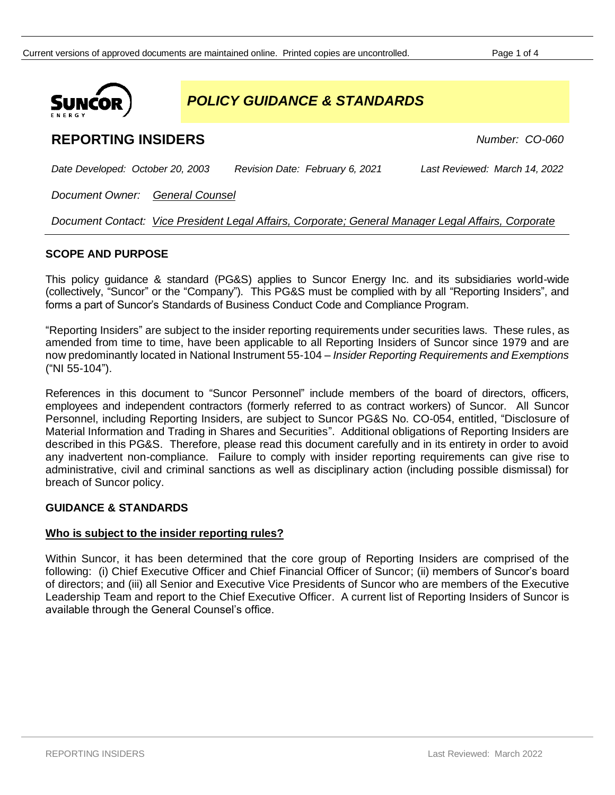

*POLICY GUIDANCE & STANDARDS*

# **REPORTING INSIDERS** *Number: CO-060*

*Date Developed: October 20, 2003 Revision Date: February 6, 2021 Last Reviewed: March 14, 2022*

*Document Owner: General Counsel*

*Document Contact: Vice President Legal Affairs, Corporate; General Manager Legal Affairs, Corporate*

# **SCOPE AND PURPOSE**

This policy guidance & standard (PG&S) applies to Suncor Energy Inc. and its subsidiaries world-wide (collectively, "Suncor" or the "Company"). This PG&S must be complied with by all "Reporting Insiders", and forms a part of Suncor's Standards of Business Conduct Code and Compliance Program.

"Reporting Insiders" are subject to the insider reporting requirements under securities laws. These rules, as amended from time to time, have been applicable to all Reporting Insiders of Suncor since 1979 and are now predominantly located in National Instrument 55-104 – *Insider Reporting Requirements and Exemptions* ("NI 55-104").

References in this document to "Suncor Personnel" include members of the board of directors, officers, employees and independent contractors (formerly referred to as contract workers) of Suncor. All Suncor Personnel, including Reporting Insiders, are subject to Suncor PG&S No. CO-054, entitled, "Disclosure of Material Information and Trading in Shares and Securities". Additional obligations of Reporting Insiders are described in this PG&S. Therefore, please read this document carefully and in its entirety in order to avoid any inadvertent non-compliance. Failure to comply with insider reporting requirements can give rise to administrative, civil and criminal sanctions as well as disciplinary action (including possible dismissal) for breach of Suncor policy.

# **GUIDANCE & STANDARDS**

## **Who is subject to the insider reporting rules?**

Within Suncor, it has been determined that the core group of Reporting Insiders are comprised of the following: (i) Chief Executive Officer and Chief Financial Officer of Suncor; (ii) members of Suncor's board of directors; and (iii) all Senior and Executive Vice Presidents of Suncor who are members of the Executive Leadership Team and report to the Chief Executive Officer. A current list of Reporting Insiders of Suncor is available through the General Counsel's office.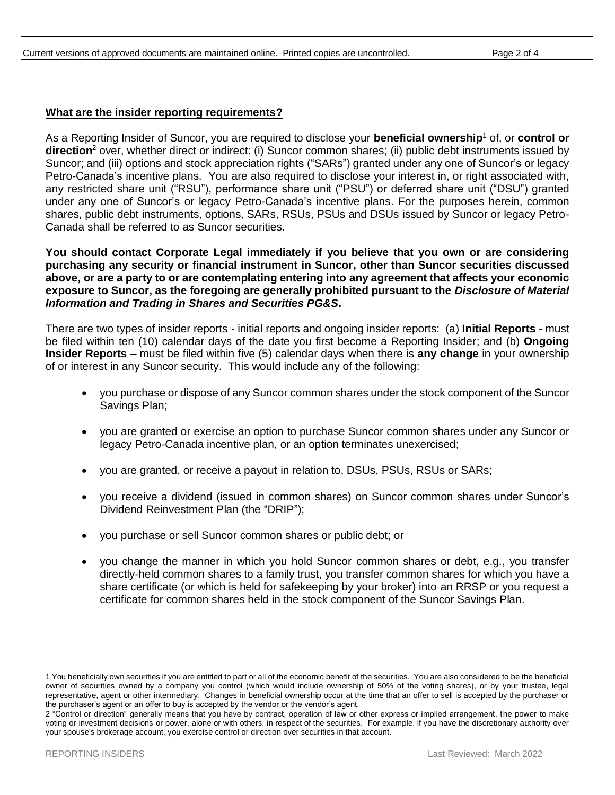#### **What are the insider reporting requirements?**

As a Reporting Insider of Suncor, you are required to disclose your **beneficial ownership**<sup>1</sup> of, or **control or direction**<sup>2</sup> over, whether direct or indirect: (i) Suncor common shares; (ii) public debt instruments issued by Suncor; and (iii) options and stock appreciation rights ("SARs") granted under any one of Suncor's or legacy Petro-Canada's incentive plans. You are also required to disclose your interest in, or right associated with, any restricted share unit ("RSU"), performance share unit ("PSU") or deferred share unit ("DSU") granted under any one of Suncor's or legacy Petro-Canada's incentive plans. For the purposes herein, common shares, public debt instruments, options, SARs, RSUs, PSUs and DSUs issued by Suncor or legacy Petro-Canada shall be referred to as Suncor securities.

**You should contact Corporate Legal immediately if you believe that you own or are considering purchasing any security or financial instrument in Suncor, other than Suncor securities discussed above, or are a party to or are contemplating entering into any agreement that affects your economic exposure to Suncor, as the foregoing are generally prohibited pursuant to the** *Disclosure of Material Information and Trading in Shares and Securities PG&S***.**

There are two types of insider reports - initial reports and ongoing insider reports: (a) **Initial Reports** - must be filed within ten (10) calendar days of the date you first become a Reporting Insider; and (b) **Ongoing Insider Reports** – must be filed within five (5) calendar days when there is **any change** in your ownership of or interest in any Suncor security. This would include any of the following:

- you purchase or dispose of any Suncor common shares under the stock component of the Suncor Savings Plan;
- you are granted or exercise an option to purchase Suncor common shares under any Suncor or legacy Petro-Canada incentive plan, or an option terminates unexercised;
- you are granted, or receive a payout in relation to, DSUs, PSUs, RSUs or SARs;
- you receive a dividend (issued in common shares) on Suncor common shares under Suncor's Dividend Reinvestment Plan (the "DRIP");
- you purchase or sell Suncor common shares or public debt; or
- you change the manner in which you hold Suncor common shares or debt, e.g., you transfer directly-held common shares to a family trust, you transfer common shares for which you have a share certificate (or which is held for safekeeping by your broker) into an RRSP or you request a certificate for common shares held in the stock component of the Suncor Savings Plan.

<sup>1</sup> You beneficially own securities if you are entitled to part or all of the economic benefit of the securities. You are also considered to be the beneficial owner of securities owned by a company you control (which would include ownership of 50% of the voting shares), or by your trustee, legal representative, agent or other intermediary. Changes in beneficial ownership occur at the time that an offer to sell is accepted by the purchaser or the purchaser's agent or an offer to buy is accepted by the vendor or the vendor's agent.

<sup>2</sup> "Control or direction" generally means that you have by contract, operation of law or other express or implied arrangement, the power to make voting or investment decisions or power, alone or with others, in respect of the securities. For example, if you have the discretionary authority over your spouse's brokerage account, you exercise control or direction over securities in that account.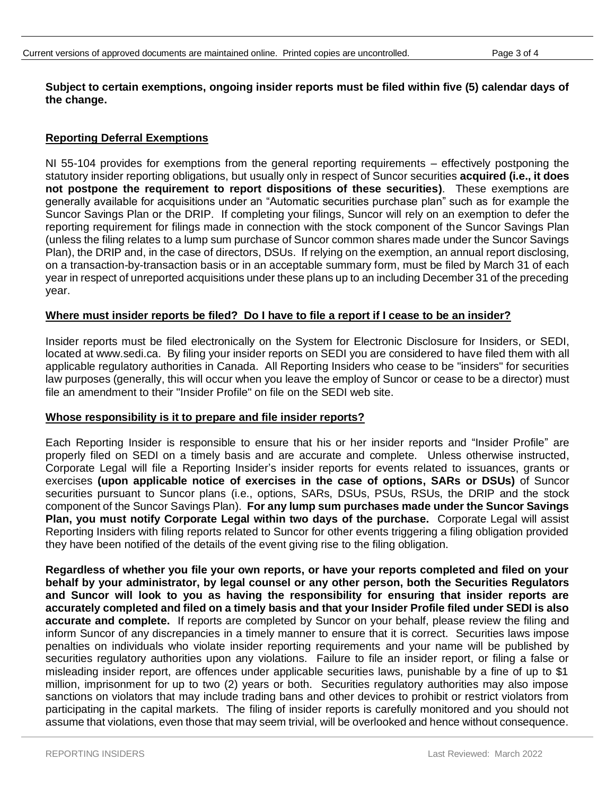## **Subject to certain exemptions, ongoing insider reports must be filed within five (5) calendar days of the change.**

## **Reporting Deferral Exemptions**

NI 55-104 provides for exemptions from the general reporting requirements – effectively postponing the statutory insider reporting obligations, but usually only in respect of Suncor securities **acquired (i.e., it does not postpone the requirement to report dispositions of these securities)**. These exemptions are generally available for acquisitions under an "Automatic securities purchase plan" such as for example the Suncor Savings Plan or the DRIP. If completing your filings, Suncor will rely on an exemption to defer the reporting requirement for filings made in connection with the stock component of the Suncor Savings Plan (unless the filing relates to a lump sum purchase of Suncor common shares made under the Suncor Savings Plan), the DRIP and, in the case of directors, DSUs. If relying on the exemption, an annual report disclosing, on a transaction-by-transaction basis or in an acceptable summary form, must be filed by March 31 of each year in respect of unreported acquisitions under these plans up to an including December 31 of the preceding year.

### **Where must insider reports be filed? Do I have to file a report if I cease to be an insider?**

Insider reports must be filed electronically on the System for Electronic Disclosure for Insiders, or SEDI, located at www.sedi.ca. By filing your insider reports on SEDI you are considered to have filed them with all applicable regulatory authorities in Canada. All Reporting Insiders who cease to be "insiders" for securities law purposes (generally, this will occur when you leave the employ of Suncor or cease to be a director) must file an amendment to their "Insider Profile" on file on the SEDI web site.

#### **Whose responsibility is it to prepare and file insider reports?**

Each Reporting Insider is responsible to ensure that his or her insider reports and "Insider Profile" are properly filed on SEDI on a timely basis and are accurate and complete. Unless otherwise instructed, Corporate Legal will file a Reporting Insider's insider reports for events related to issuances, grants or exercises **(upon applicable notice of exercises in the case of options, SARs or DSUs)** of Suncor securities pursuant to Suncor plans (i.e., options, SARs, DSUs, PSUs, RSUs, the DRIP and the stock component of the Suncor Savings Plan). **For any lump sum purchases made under the Suncor Savings Plan, you must notify Corporate Legal within two days of the purchase.** Corporate Legal will assist Reporting Insiders with filing reports related to Suncor for other events triggering a filing obligation provided they have been notified of the details of the event giving rise to the filing obligation.

**Regardless of whether you file your own reports, or have your reports completed and filed on your behalf by your administrator, by legal counsel or any other person, both the Securities Regulators and Suncor will look to you as having the responsibility for ensuring that insider reports are accurately completed and filed on a timely basis and that your Insider Profile filed under SEDI is also accurate and complete.** If reports are completed by Suncor on your behalf, please review the filing and inform Suncor of any discrepancies in a timely manner to ensure that it is correct. Securities laws impose penalties on individuals who violate insider reporting requirements and your name will be published by securities regulatory authorities upon any violations. Failure to file an insider report, or filing a false or misleading insider report, are offences under applicable securities laws, punishable by a fine of up to \$1 million, imprisonment for up to two (2) years or both. Securities regulatory authorities may also impose sanctions on violators that may include trading bans and other devices to prohibit or restrict violators from participating in the capital markets. The filing of insider reports is carefully monitored and you should not assume that violations, even those that may seem trivial, will be overlooked and hence without consequence.